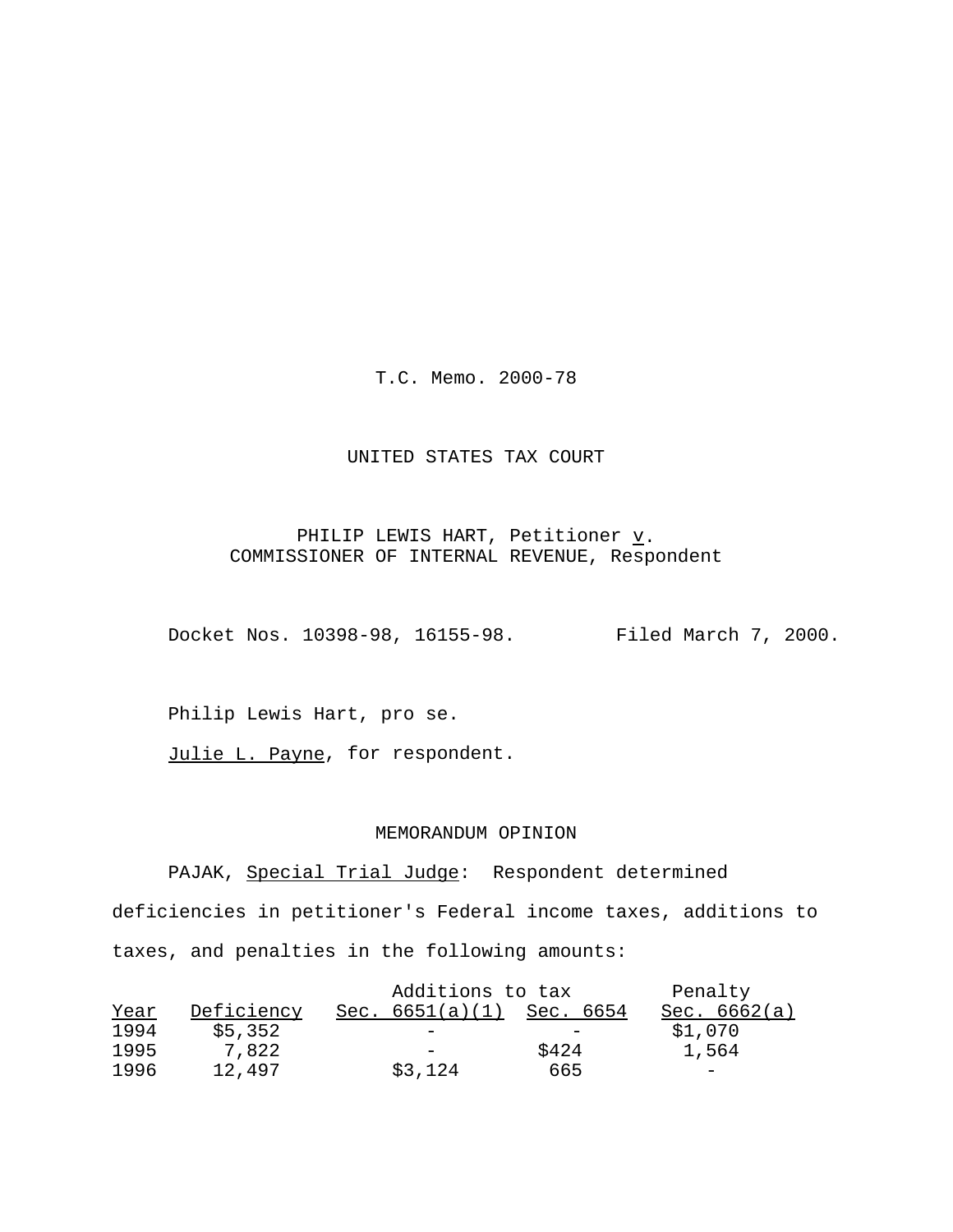T.C. Memo. 2000-78

## UNITED STATES TAX COURT

## PHILIP LEWIS HART, Petitioner  $\underline{v}$ . COMMISSIONER OF INTERNAL REVENUE, Respondent

Docket Nos. 10398-98, 16155-98. Filed March 7, 2000.

Philip Lewis Hart, pro se.

Julie L. Payne, for respondent.

## MEMORANDUM OPINION

PAJAK, Special Trial Judge: Respondent determined deficiencies in petitioner's Federal income taxes, additions to taxes, and penalties in the following amounts:

|      |            | Additions to tax  |           | Penalty                  |
|------|------------|-------------------|-----------|--------------------------|
| Year | Deficiency | Sec. $6651(a)(1)$ | Sec. 6654 | Sec. 6662(a)             |
| 1994 | \$5,352    |                   |           | \$1,070                  |
| 1995 | 7.822      |                   | \$424     | 1,564                    |
| 1996 | 12,497     | \$3,124           | 665       | $\overline{\phantom{0}}$ |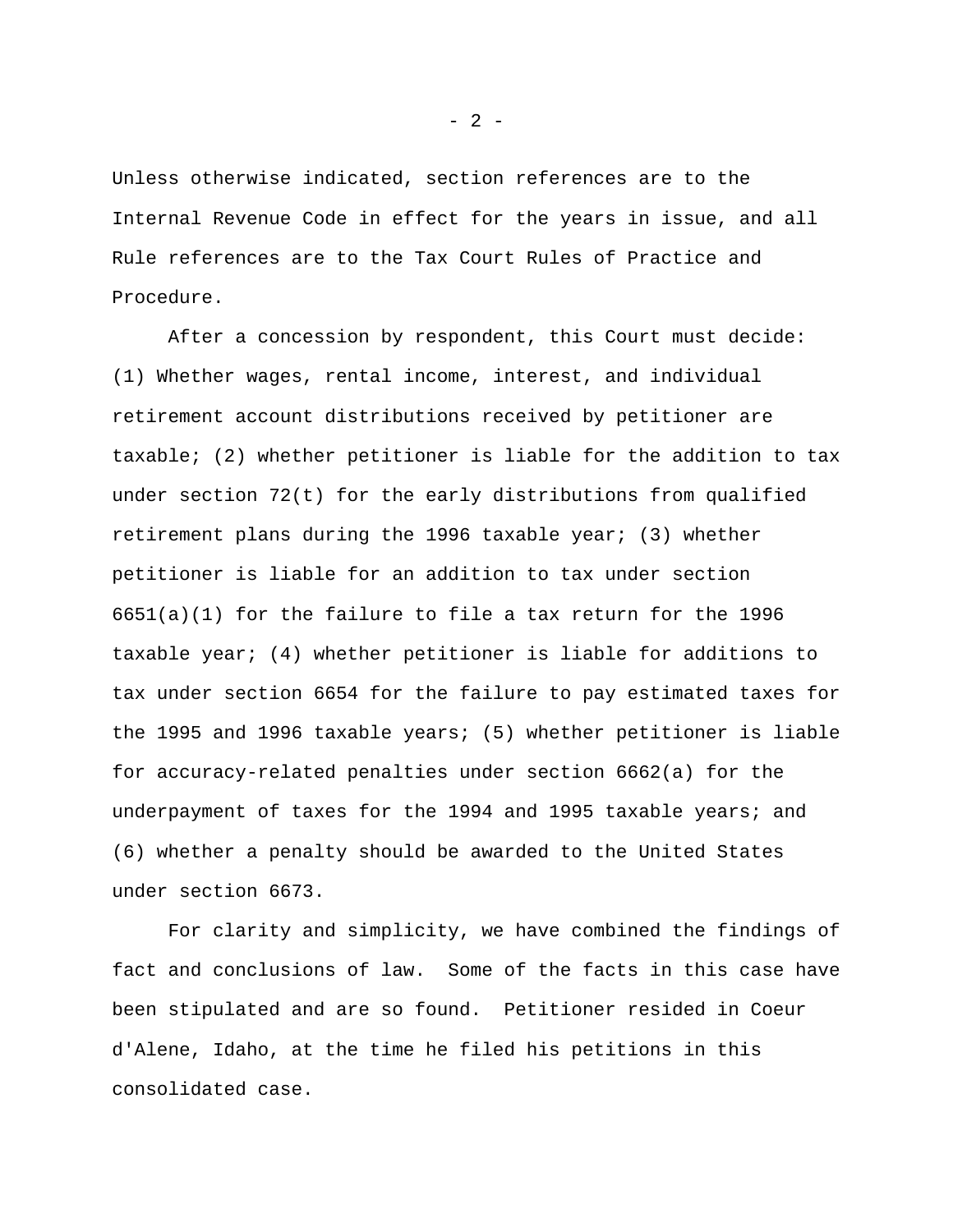Unless otherwise indicated, section references are to the Internal Revenue Code in effect for the years in issue, and all Rule references are to the Tax Court Rules of Practice and Procedure.

After a concession by respondent, this Court must decide: (1) Whether wages, rental income, interest, and individual retirement account distributions received by petitioner are taxable; (2) whether petitioner is liable for the addition to tax under section 72(t) for the early distributions from qualified retirement plans during the 1996 taxable year; (3) whether petitioner is liable for an addition to tax under section  $6651(a)(1)$  for the failure to file a tax return for the 1996 taxable year; (4) whether petitioner is liable for additions to tax under section 6654 for the failure to pay estimated taxes for the 1995 and 1996 taxable years; (5) whether petitioner is liable for accuracy-related penalties under section 6662(a) for the underpayment of taxes for the 1994 and 1995 taxable years; and (6) whether a penalty should be awarded to the United States under section 6673.

For clarity and simplicity, we have combined the findings of fact and conclusions of law. Some of the facts in this case have been stipulated and are so found. Petitioner resided in Coeur d'Alene, Idaho, at the time he filed his petitions in this consolidated case.

- 2 -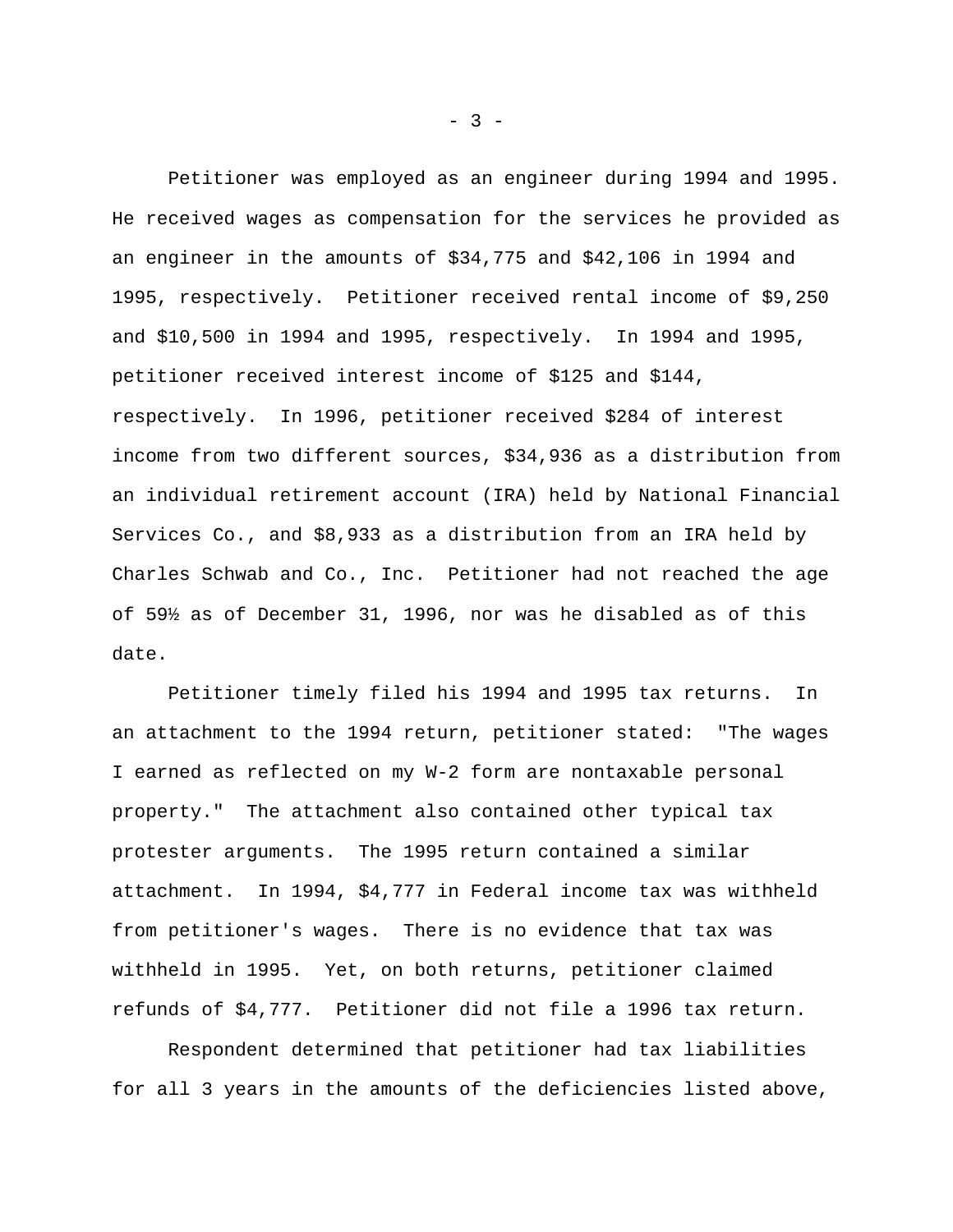Petitioner was employed as an engineer during 1994 and 1995. He received wages as compensation for the services he provided as an engineer in the amounts of \$34,775 and \$42,106 in 1994 and 1995, respectively. Petitioner received rental income of \$9,250 and \$10,500 in 1994 and 1995, respectively. In 1994 and 1995, petitioner received interest income of \$125 and \$144, respectively. In 1996, petitioner received \$284 of interest income from two different sources, \$34,936 as a distribution from an individual retirement account (IRA) held by National Financial Services Co., and \$8,933 as a distribution from an IRA held by Charles Schwab and Co., Inc. Petitioner had not reached the age of 59½ as of December 31, 1996, nor was he disabled as of this date.

Petitioner timely filed his 1994 and 1995 tax returns. In an attachment to the 1994 return, petitioner stated: "The wages I earned as reflected on my W-2 form are nontaxable personal property." The attachment also contained other typical tax protester arguments. The 1995 return contained a similar attachment. In 1994, \$4,777 in Federal income tax was withheld from petitioner's wages. There is no evidence that tax was withheld in 1995. Yet, on both returns, petitioner claimed refunds of \$4,777. Petitioner did not file a 1996 tax return.

Respondent determined that petitioner had tax liabilities for all 3 years in the amounts of the deficiencies listed above,

 $- 3 -$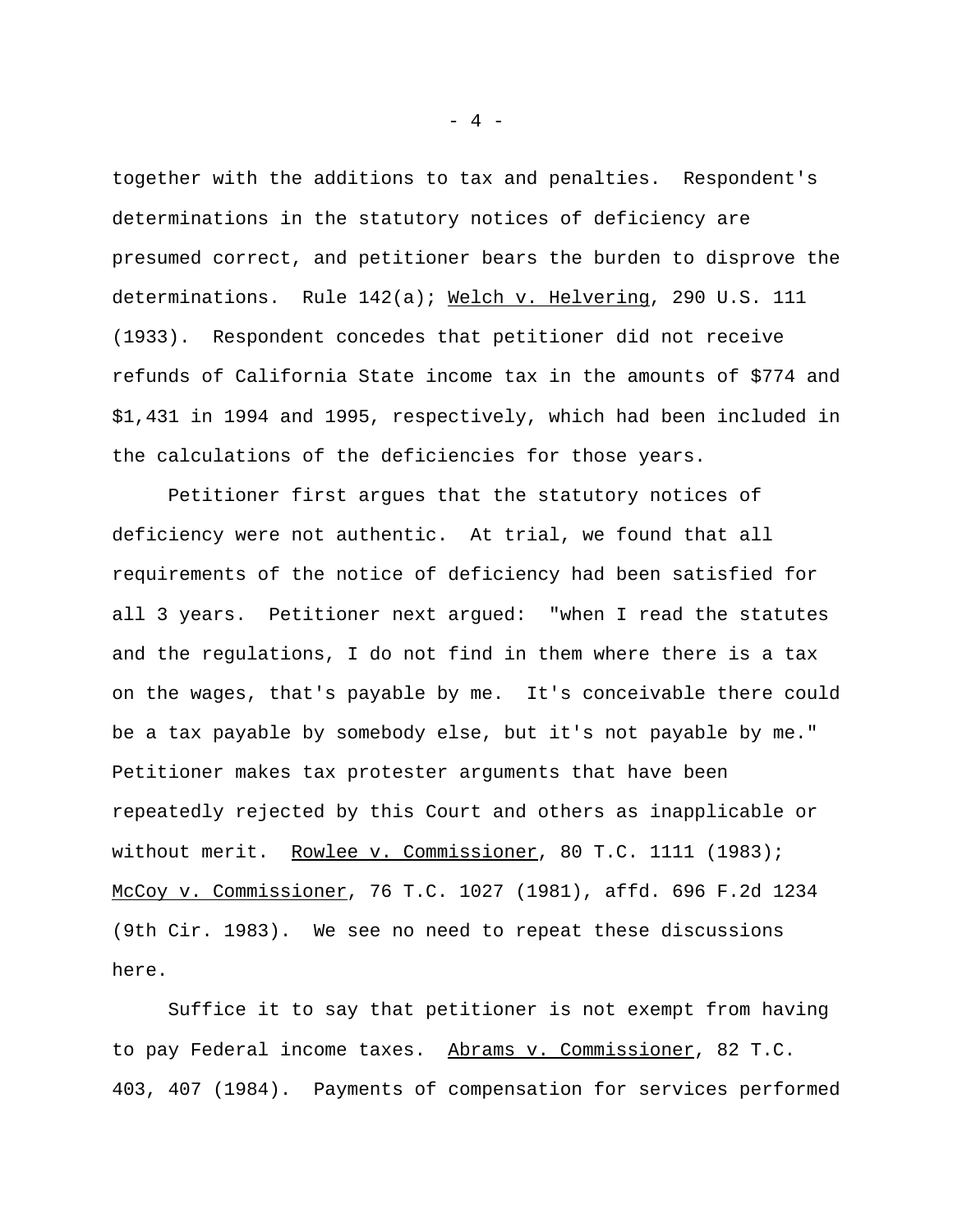together with the additions to tax and penalties. Respondent's determinations in the statutory notices of deficiency are presumed correct, and petitioner bears the burden to disprove the determinations. Rule 142(a); Welch v. Helvering, 290 U.S. 111 (1933). Respondent concedes that petitioner did not receive refunds of California State income tax in the amounts of \$774 and \$1,431 in 1994 and 1995, respectively, which had been included in the calculations of the deficiencies for those years.

Petitioner first argues that the statutory notices of deficiency were not authentic. At trial, we found that all requirements of the notice of deficiency had been satisfied for all 3 years. Petitioner next argued: "when I read the statutes and the regulations, I do not find in them where there is a tax on the wages, that's payable by me. It's conceivable there could be a tax payable by somebody else, but it's not payable by me." Petitioner makes tax protester arguments that have been repeatedly rejected by this Court and others as inapplicable or without merit. Rowlee v. Commissioner, 80 T.C. 1111 (1983); McCoy v. Commissioner, 76 T.C. 1027 (1981), affd. 696 F.2d 1234 (9th Cir. 1983). We see no need to repeat these discussions here.

Suffice it to say that petitioner is not exempt from having to pay Federal income taxes. Abrams v. Commissioner, 82 T.C. 403, 407 (1984). Payments of compensation for services performed

- 4 -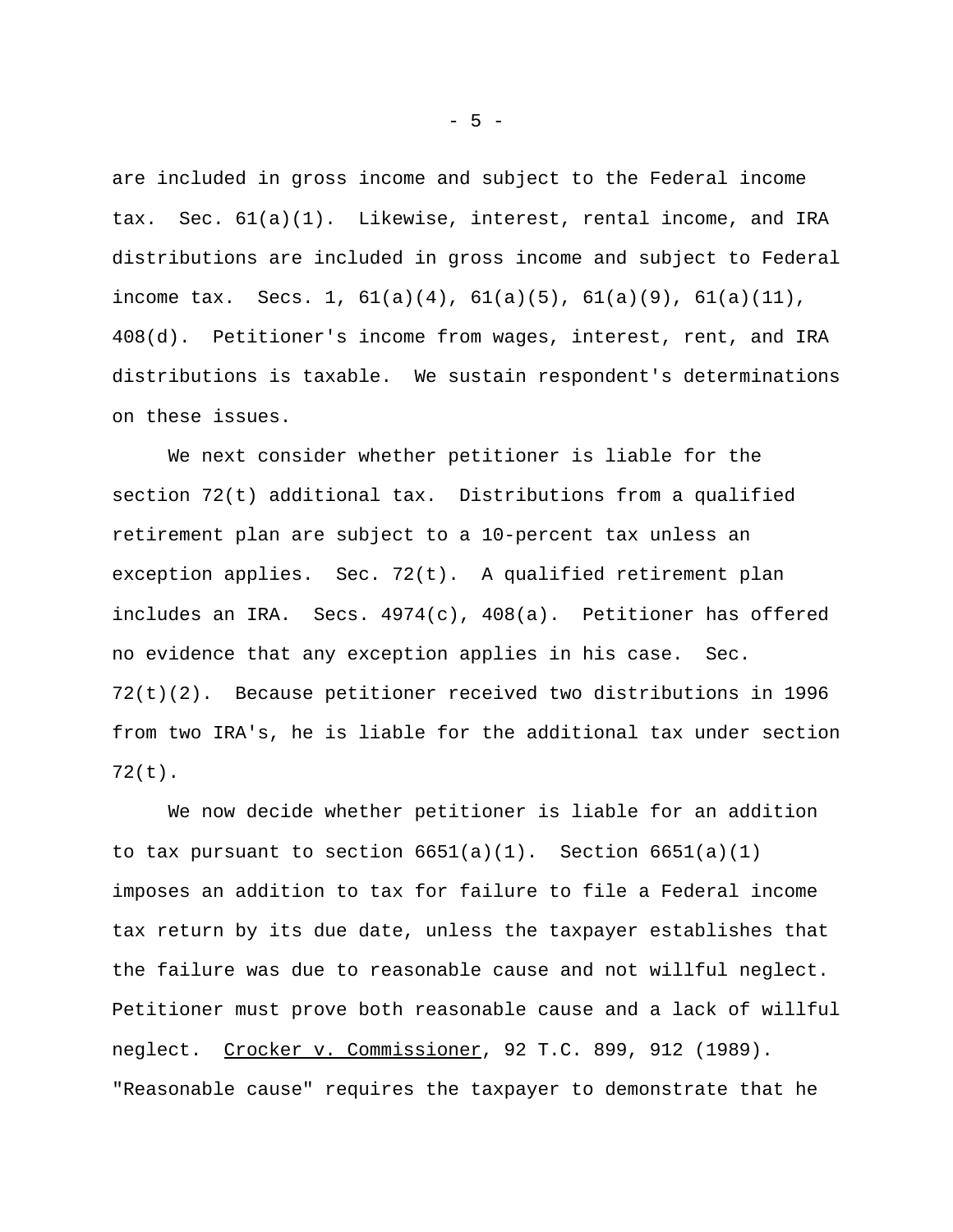are included in gross income and subject to the Federal income tax. Sec. 61(a)(1). Likewise, interest, rental income, and IRA distributions are included in gross income and subject to Federal income tax. Secs. 1,  $61(a)(4)$ ,  $61(a)(5)$ ,  $61(a)(9)$ ,  $61(a)(11)$ , 408(d). Petitioner's income from wages, interest, rent, and IRA distributions is taxable. We sustain respondent's determinations on these issues.

We next consider whether petitioner is liable for the section 72(t) additional tax. Distributions from a qualified retirement plan are subject to a 10-percent tax unless an exception applies. Sec. 72(t). A qualified retirement plan includes an IRA. Secs. 4974(c), 408(a). Petitioner has offered no evidence that any exception applies in his case. Sec. 72(t)(2). Because petitioner received two distributions in 1996 from two IRA's, he is liable for the additional tax under section 72(t).

We now decide whether petitioner is liable for an addition to tax pursuant to section  $6651(a)(1)$ . Section  $6651(a)(1)$ imposes an addition to tax for failure to file a Federal income tax return by its due date, unless the taxpayer establishes that the failure was due to reasonable cause and not willful neglect. Petitioner must prove both reasonable cause and a lack of willful neglect. Crocker v. Commissioner, 92 T.C. 899, 912 (1989). "Reasonable cause" requires the taxpayer to demonstrate that he

- 5 -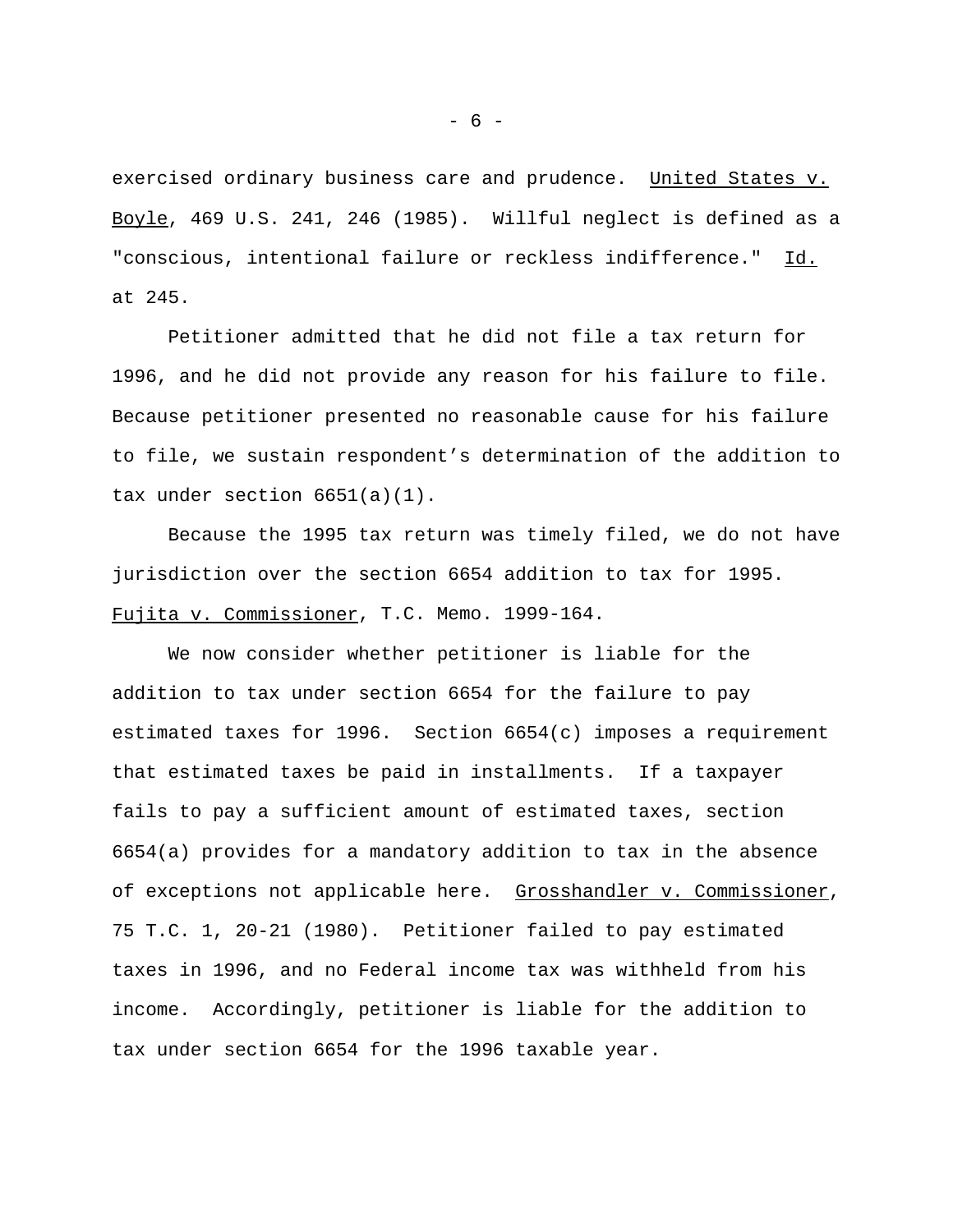exercised ordinary business care and prudence. United States v. Boyle, 469 U.S. 241, 246 (1985). Willful neglect is defined as a "conscious, intentional failure or reckless indifference." Id. at 245.

Petitioner admitted that he did not file a tax return for 1996, and he did not provide any reason for his failure to file. Because petitioner presented no reasonable cause for his failure to file, we sustain respondent's determination of the addition to tax under section 6651(a)(1).

Because the 1995 tax return was timely filed, we do not have jurisdiction over the section 6654 addition to tax for 1995. Fujita v. Commissioner, T.C. Memo. 1999-164.

We now consider whether petitioner is liable for the addition to tax under section 6654 for the failure to pay estimated taxes for 1996. Section 6654(c) imposes a requirement that estimated taxes be paid in installments. If a taxpayer fails to pay a sufficient amount of estimated taxes, section 6654(a) provides for a mandatory addition to tax in the absence of exceptions not applicable here. Grosshandler v. Commissioner, 75 T.C. 1, 20-21 (1980). Petitioner failed to pay estimated taxes in 1996, and no Federal income tax was withheld from his income. Accordingly, petitioner is liable for the addition to tax under section 6654 for the 1996 taxable year.

- 6 -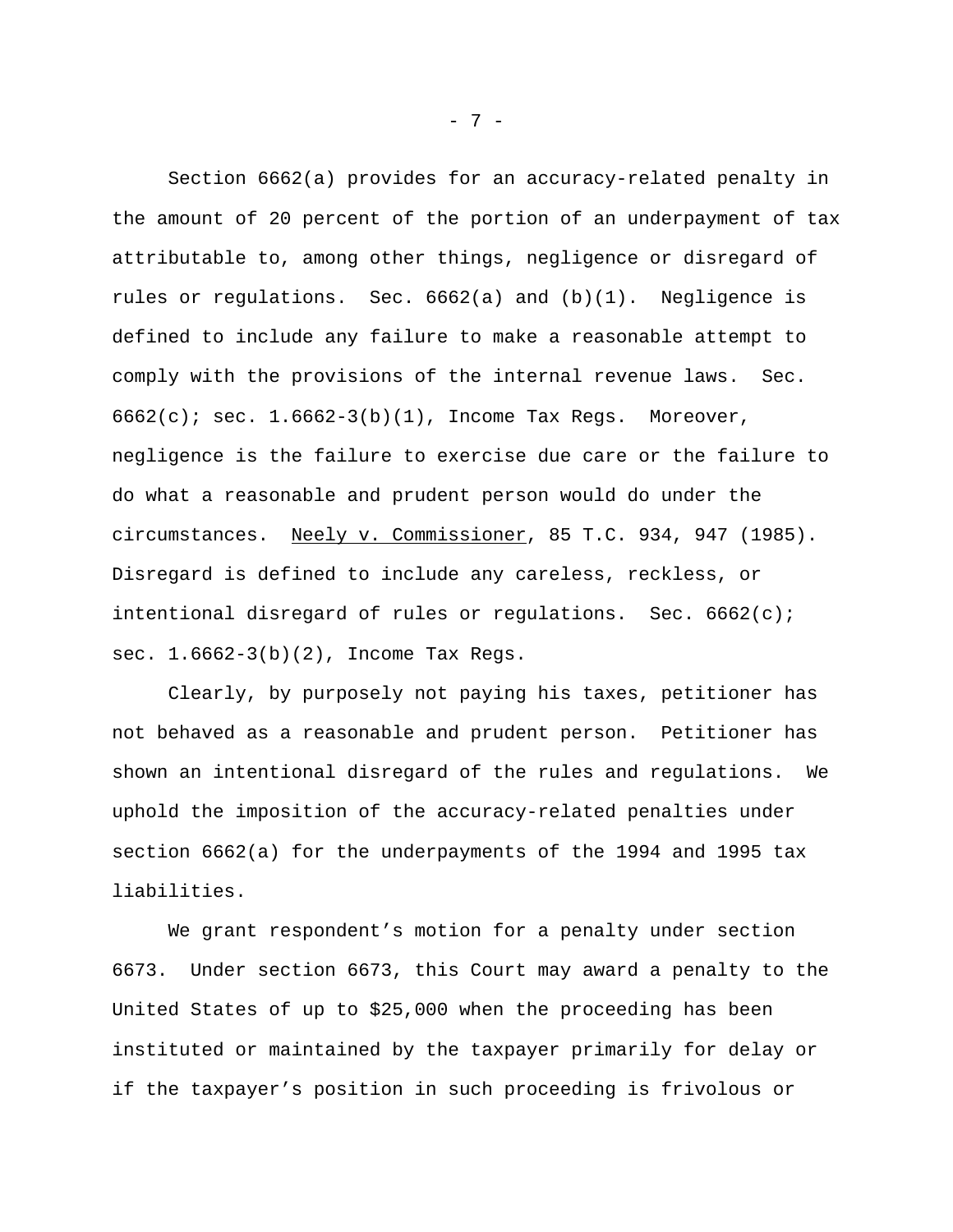Section 6662(a) provides for an accuracy-related penalty in the amount of 20 percent of the portion of an underpayment of tax attributable to, among other things, negligence or disregard of rules or regulations. Sec.  $6662(a)$  and  $(b)(1)$ . Negligence is defined to include any failure to make a reasonable attempt to comply with the provisions of the internal revenue laws. Sec.  $6662(c)$ ; sec.  $1.6662-3(b)(1)$ , Income Tax Regs. Moreover, negligence is the failure to exercise due care or the failure to do what a reasonable and prudent person would do under the circumstances. Neely v. Commissioner, 85 T.C. 934, 947 (1985). Disregard is defined to include any careless, reckless, or intentional disregard of rules or regulations. Sec. 6662(c); sec. 1.6662-3(b)(2), Income Tax Regs.

Clearly, by purposely not paying his taxes, petitioner has not behaved as a reasonable and prudent person. Petitioner has shown an intentional disregard of the rules and regulations. We uphold the imposition of the accuracy-related penalties under section 6662(a) for the underpayments of the 1994 and 1995 tax liabilities.

We grant respondent's motion for a penalty under section 6673. Under section 6673, this Court may award a penalty to the United States of up to \$25,000 when the proceeding has been instituted or maintained by the taxpayer primarily for delay or if the taxpayer's position in such proceeding is frivolous or

- 7 -